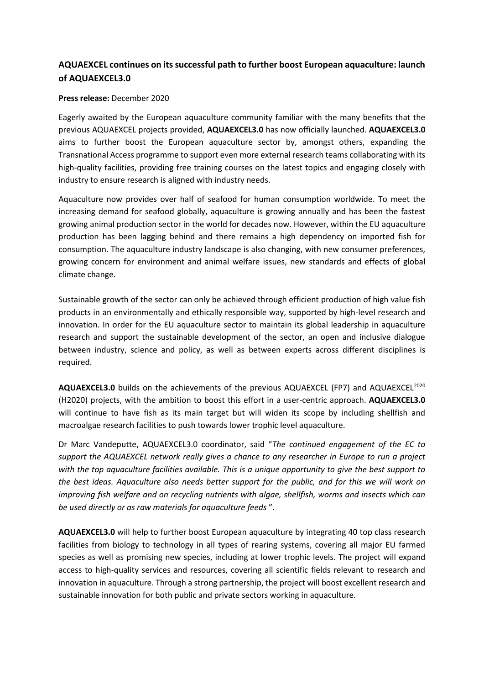## **AQUAEXCEL continues on its successful path to further boost European aquaculture: launch of AQUAEXCEL3.0**

## **Press release:** December 2020

Eagerly awaited by the European aquaculture community familiar with the many benefits that the previous AQUAEXCEL projects provided, **AQUAEXCEL3.0** has now officially launched. **AQUAEXCEL3.0** aims to further boost the European aquaculture sector by, amongst others, expanding the Transnational Access programme to support even more external research teams collaborating with its high-quality facilities, providing free training courses on the latest topics and engaging closely with industry to ensure research is aligned with industry needs.

Aquaculture now provides over half of seafood for human consumption worldwide. To meet the increasing demand for seafood globally, aquaculture is growing annually and has been the fastest growing animal production sector in the world for decades now. However, within the EU aquaculture production has been lagging behind and there remains a high dependency on imported fish for consumption. The aquaculture industry landscape is also changing, with new consumer preferences, growing concern for environment and animal welfare issues, new standards and effects of global climate change.

Sustainable growth of the sector can only be achieved through efficient production of high value fish products in an environmentally and ethically responsible way, supported by high-level research and innovation. In order for the EU aquaculture sector to maintain its global leadership in aquaculture research and support the sustainable development of the sector, an open and inclusive dialogue between industry, science and policy, as well as between experts across different disciplines is required.

AQUAEXCEL3.0 builds on the achievements of the previous AQUAEXCEL (FP7) and AQUAEXCEL<sup>2020</sup> (H2020) projects, with the ambition to boost this effort in a user-centric approach. **AQUAEXCEL3.0** will continue to have fish as its main target but will widen its scope by including shellfish and macroalgae research facilities to push towards lower trophic level aquaculture.

Dr Marc Vandeputte, AQUAEXCEL3.0 coordinator, said "*The continued engagement of the EC to support the AQUAEXCEL network really gives a chance to any researcher in Europe to run a project with the top aquaculture facilities available. This is a unique opportunity to give the best support to the best ideas. Aquaculture also needs better support for the public, and for this we will work on improving fish welfare and on recycling nutrients with algae, shellfish, worms and insects which can be used directly or as raw materials for aquaculture feeds* ".

**AQUAEXCEL3.0** will help to further boost European aquaculture by integrating 40 top class research facilities from biology to technology in all types of rearing systems, covering all major EU farmed species as well as promising new species, including at lower trophic levels. The project will expand access to high-quality services and resources, covering all scientific fields relevant to research and innovation in aquaculture. Through a strong partnership, the project will boost excellent research and sustainable innovation for both public and private sectors working in aquaculture.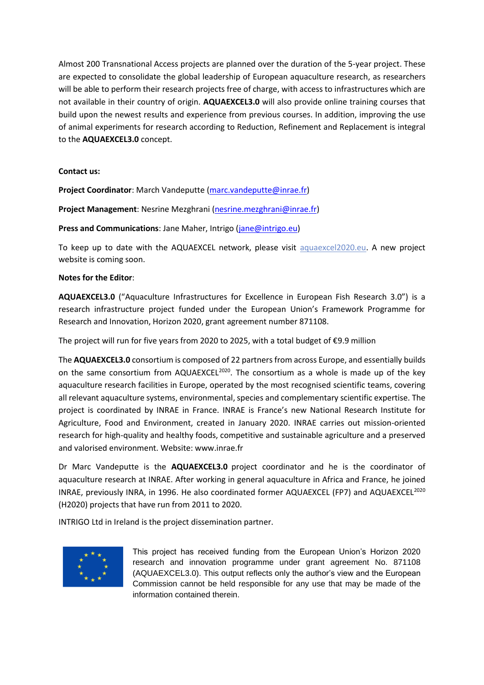Almost 200 Transnational Access projects are planned over the duration of the 5-year project. These are expected to consolidate the global leadership of European aquaculture research, as researchers will be able to perform their research projects free of charge, with access to infrastructures which are not available in their country of origin. **AQUAEXCEL3.0** will also provide online training courses that build upon the newest results and experience from previous courses. In addition, improving the use of animal experiments for research according to Reduction, Refinement and Replacement is integral to the **AQUAEXCEL3.0** concept.

## **Contact us:**

Project Coordinator: March Vandeputte [\(marc.vandeputte@inrae.fr\)](mailto:marc.vandeputte@inrae.fr)

**Project Management**: Nesrine Mezghrani [\(nesrine.mezghrani@inrae.fr\)](mailto:nesrine.mezghrani@inrae.fr)

**Press and Communications**: Jane Maher, Intrigo [\(jane@intrigo.eu\)](mailto:jane@intrigo.eu)

To keep up to date with the AQUAEXCEL network, please visit [aquaexcel2020.eu.](https://aquaexcel2020.eu/) A new project website is coming soon.

## **Notes for the Editor**:

**AQUAEXCEL3.0** ("Aquaculture Infrastructures for Excellence in European Fish Research 3.0") is a research infrastructure project funded under the European Union's Framework Programme for Research and Innovation, Horizon 2020, grant agreement number 871108.

The project will run for five years from 2020 to 2025, with a total budget of  $\epsilon$ 9.9 million

The **AQUAEXCEL3.0** consortium is composed of 22 partners from across Europe, and essentially builds on the same consortium from AQUAEXCEL<sup>2020</sup>. The consortium as a whole is made up of the key aquaculture research facilities in Europe, operated by the most recognised scientific teams, covering all relevant aquaculture systems, environmental, species and complementary scientific expertise. The project is coordinated by INRAE in France. INRAE is France's new National Research Institute for Agriculture, Food and Environment, created in January 2020. INRAE carries out mission-oriented research for high-quality and healthy foods, competitive and sustainable agriculture and a preserved and valorised environment. Website: www.inrae.fr

Dr Marc Vandeputte is the **AQUAEXCEL3.0** project coordinator and he is the coordinator of aquaculture research at INRAE. After working in general aquaculture in Africa and France, he joined INRAE, previously INRA, in 1996. He also coordinated former AQUAEXCEL (FP7) and AQUAEXCEL<sup>2020</sup> (H2020) projects that have run from 2011 to 2020.

INTRIGO Ltd in Ireland is the project dissemination partner.



This project has received funding from the European Union's Horizon 2020 research and innovation programme under grant agreement No. 871108 (AQUAEXCEL3.0). This output reflects only the author's view and the European Commission cannot be held responsible for any use that may be made of the information contained therein.